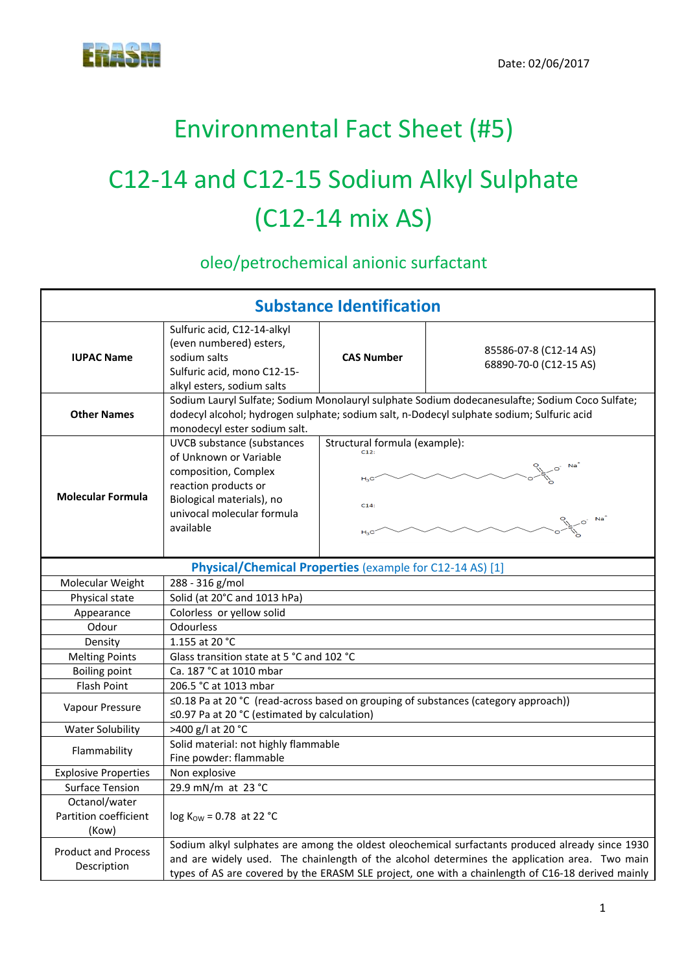## Environmental Fact Sheet (#5)

# C12‐14 and C12‐15 Sodium Alkyl Sulphate (C12‐14 mix AS)

oleo/petrochemical anionic surfactant

| <b>Substance Identification</b>                 |                                                                                                                                                                                                                             |                                                 |                                                                                                                                                                                                                                                                                                        |
|-------------------------------------------------|-----------------------------------------------------------------------------------------------------------------------------------------------------------------------------------------------------------------------------|-------------------------------------------------|--------------------------------------------------------------------------------------------------------------------------------------------------------------------------------------------------------------------------------------------------------------------------------------------------------|
| <b>IUPAC Name</b>                               | Sulfuric acid, C12-14-alkyl<br>(even numbered) esters,<br>sodium salts<br>Sulfuric acid, mono C12-15-<br>alkyl esters, sodium salts                                                                                         | <b>CAS Number</b>                               | 85586-07-8 (C12-14 AS)<br>68890-70-0 (C12-15 AS)                                                                                                                                                                                                                                                       |
| <b>Other Names</b>                              | Sodium Lauryl Sulfate; Sodium Monolauryl sulphate Sodium dodecanesulafte; Sodium Coco Sulfate;<br>dodecyl alcohol; hydrogen sulphate; sodium salt, n-Dodecyl sulphate sodium; Sulfuric acid<br>monodecyl ester sodium salt. |                                                 |                                                                                                                                                                                                                                                                                                        |
| <b>Molecular Formula</b>                        | <b>UVCB</b> substance (substances<br>of Unknown or Variable<br>composition, Complex<br>reaction products or<br>Biological materials), no<br>univocal molecular formula<br>available                                         | Structural formula (example):<br>$H_3C$<br>C14: |                                                                                                                                                                                                                                                                                                        |
|                                                 | Physical/Chemical Properties (example for C12-14 AS) [1]                                                                                                                                                                    |                                                 |                                                                                                                                                                                                                                                                                                        |
| Molecular Weight                                | 288 - 316 g/mol                                                                                                                                                                                                             |                                                 |                                                                                                                                                                                                                                                                                                        |
| Physical state                                  | Solid (at 20°C and 1013 hPa)                                                                                                                                                                                                |                                                 |                                                                                                                                                                                                                                                                                                        |
| Appearance                                      | Colorless or yellow solid                                                                                                                                                                                                   |                                                 |                                                                                                                                                                                                                                                                                                        |
| Odour                                           | <b>Odourless</b>                                                                                                                                                                                                            |                                                 |                                                                                                                                                                                                                                                                                                        |
| Density                                         | 1.155 at 20 °C                                                                                                                                                                                                              |                                                 |                                                                                                                                                                                                                                                                                                        |
| <b>Melting Points</b>                           | Glass transition state at 5 °C and 102 °C                                                                                                                                                                                   |                                                 |                                                                                                                                                                                                                                                                                                        |
| <b>Boiling point</b>                            | Ca. 187 °C at 1010 mbar                                                                                                                                                                                                     |                                                 |                                                                                                                                                                                                                                                                                                        |
| <b>Flash Point</b>                              | 206.5 °C at 1013 mbar                                                                                                                                                                                                       |                                                 |                                                                                                                                                                                                                                                                                                        |
| Vapour Pressure                                 | ≤0.18 Pa at 20 °C (read-across based on grouping of substances (category approach))<br>≤0.97 Pa at 20 °C (estimated by calculation)                                                                                         |                                                 |                                                                                                                                                                                                                                                                                                        |
| <b>Water Solubility</b>                         | >400 g/l at 20 °C                                                                                                                                                                                                           |                                                 |                                                                                                                                                                                                                                                                                                        |
| Flammability                                    | Solid material: not highly flammable<br>Fine powder: flammable                                                                                                                                                              |                                                 |                                                                                                                                                                                                                                                                                                        |
| <b>Explosive Properties</b>                     | Non explosive                                                                                                                                                                                                               |                                                 |                                                                                                                                                                                                                                                                                                        |
| <b>Surface Tension</b>                          | 29.9 mN/m at 23 °C                                                                                                                                                                                                          |                                                 |                                                                                                                                                                                                                                                                                                        |
| Octanol/water<br>Partition coefficient<br>(Kow) | $log K_{OW} = 0.78$ at 22 °C                                                                                                                                                                                                |                                                 |                                                                                                                                                                                                                                                                                                        |
| <b>Product and Process</b><br>Description       |                                                                                                                                                                                                                             |                                                 | Sodium alkyl sulphates are among the oldest oleochemical surfactants produced already since 1930<br>and are widely used. The chainlength of the alcohol determines the application area. Two main<br>types of AS are covered by the ERASM SLE project, one with a chainlength of C16-18 derived mainly |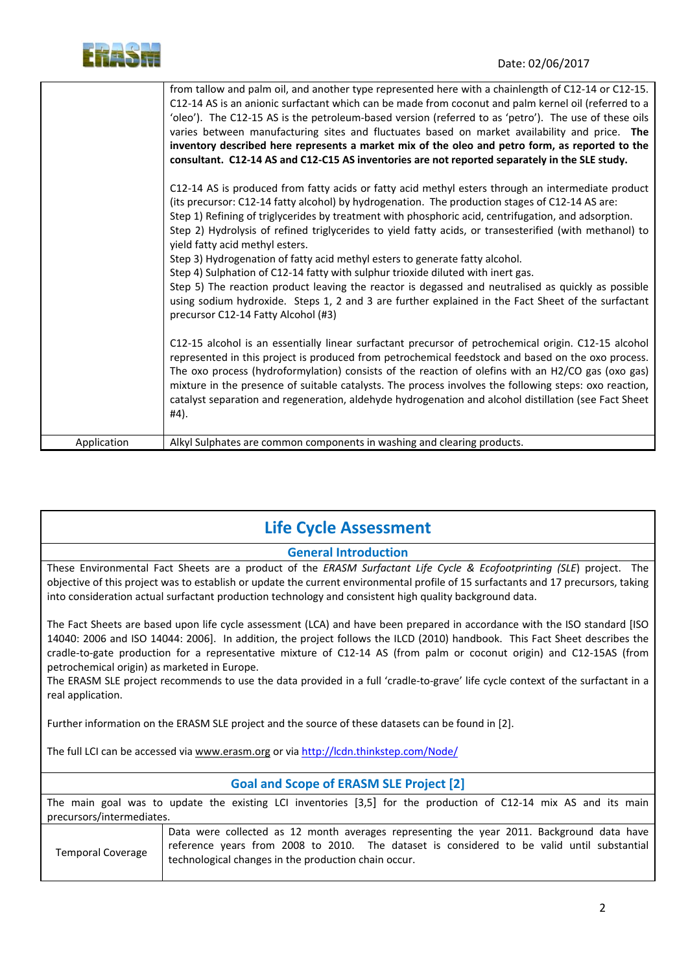

|             | from tallow and palm oil, and another type represented here with a chainlength of C12-14 or C12-15.<br>C12-14 AS is an anionic surfactant which can be made from coconut and palm kernel oil (referred to a<br>'oleo'). The C12-15 AS is the petroleum-based version (referred to as 'petro'). The use of these oils<br>varies between manufacturing sites and fluctuates based on market availability and price. The<br>inventory described here represents a market mix of the oleo and petro form, as reported to the<br>consultant. C12-14 AS and C12-C15 AS inventories are not reported separately in the SLE study.                                                                                                                                                                                                                                                          |
|-------------|-------------------------------------------------------------------------------------------------------------------------------------------------------------------------------------------------------------------------------------------------------------------------------------------------------------------------------------------------------------------------------------------------------------------------------------------------------------------------------------------------------------------------------------------------------------------------------------------------------------------------------------------------------------------------------------------------------------------------------------------------------------------------------------------------------------------------------------------------------------------------------------|
|             | C12-14 AS is produced from fatty acids or fatty acid methyl esters through an intermediate product<br>(its precursor: C12-14 fatty alcohol) by hydrogenation. The production stages of C12-14 AS are:<br>Step 1) Refining of triglycerides by treatment with phosphoric acid, centrifugation, and adsorption.<br>Step 2) Hydrolysis of refined triglycerides to yield fatty acids, or transesterified (with methanol) to<br>yield fatty acid methyl esters.<br>Step 3) Hydrogenation of fatty acid methyl esters to generate fatty alcohol.<br>Step 4) Sulphation of C12-14 fatty with sulphur trioxide diluted with inert gas.<br>Step 5) The reaction product leaving the reactor is degassed and neutralised as quickly as possible<br>using sodium hydroxide. Steps 1, 2 and 3 are further explained in the Fact Sheet of the surfactant<br>precursor C12-14 Fatty Alcohol (#3) |
|             | C12-15 alcohol is an essentially linear surfactant precursor of petrochemical origin. C12-15 alcohol<br>represented in this project is produced from petrochemical feedstock and based on the oxo process.<br>The oxo process (hydroformylation) consists of the reaction of olefins with an H2/CO gas (oxo gas)<br>mixture in the presence of suitable catalysts. The process involves the following steps: oxo reaction,<br>catalyst separation and regeneration, aldehyde hydrogenation and alcohol distillation (see Fact Sheet<br>#4).                                                                                                                                                                                                                                                                                                                                         |
| Application | Alkyl Sulphates are common components in washing and clearing products.                                                                                                                                                                                                                                                                                                                                                                                                                                                                                                                                                                                                                                                                                                                                                                                                             |

### **Life Cycle Assessment**

#### **General Introduction**

These Environmental Fact Sheets are a product of the *ERASM Surfactant Life Cycle & Ecofootprinting (SLE*) project. The objective of this project was to establish or update the current environmental profile of 15 surfactants and 17 precursors, taking into consideration actual surfactant production technology and consistent high quality background data.

The Fact Sheets are based upon life cycle assessment (LCA) and have been prepared in accordance with the ISO standard [ISO 14040: 2006 and ISO 14044: 2006]. In addition, the project follows the ILCD (2010) handbook. This Fact Sheet describes the cradle‐to‐gate production for a representative mixture of C12‐14 AS (from palm or coconut origin) and C12‐15AS (from petrochemical origin) as marketed in Europe.

The ERASM SLE project recommends to use the data provided in a full 'cradle-to-grave' life cycle context of the surfactant in a real application.

Further information on the ERASM SLE project and the source of these datasets can be found in [2].

The full LCI can be accessed via www.erasm.org or via http://lcdn.thinkstep.com/Node/

| <b>Goal and Scope of ERASM SLE Project [2]</b> |                                                                                                                                                    |  |
|------------------------------------------------|----------------------------------------------------------------------------------------------------------------------------------------------------|--|
|                                                | The main goal was to update the existing LCI inventories [3,5] for the production of C12-14 mix AS and its main                                    |  |
| precursors/intermediates.                      |                                                                                                                                                    |  |
|                                                | Data were collected as 12 month averages representing the year 2011. Background data have                                                          |  |
| <b>Temporal Coverage</b>                       | reference years from 2008 to 2010. The dataset is considered to be valid until substantial<br>technological changes in the production chain occur. |  |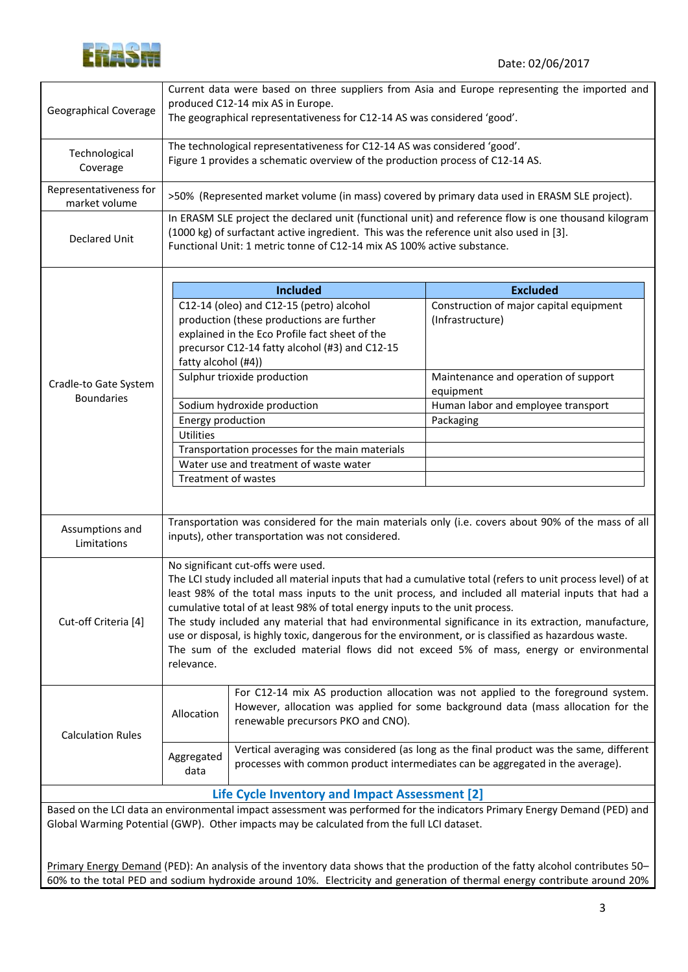

| <b>Geographical Coverage</b>            | Current data were based on three suppliers from Asia and Europe representing the imported and<br>produced C12-14 mix AS in Europe.<br>The geographical representativeness for C12-14 AS was considered 'good'.                                                              |                                                                                                                                                                                                              |                                                                                                                                                                                                                                                                                                                                                                                                                                                                                                                                 |  |
|-----------------------------------------|-----------------------------------------------------------------------------------------------------------------------------------------------------------------------------------------------------------------------------------------------------------------------------|--------------------------------------------------------------------------------------------------------------------------------------------------------------------------------------------------------------|---------------------------------------------------------------------------------------------------------------------------------------------------------------------------------------------------------------------------------------------------------------------------------------------------------------------------------------------------------------------------------------------------------------------------------------------------------------------------------------------------------------------------------|--|
| Technological<br>Coverage               | The technological representativeness for C12-14 AS was considered 'good'.<br>Figure 1 provides a schematic overview of the production process of C12-14 AS.                                                                                                                 |                                                                                                                                                                                                              |                                                                                                                                                                                                                                                                                                                                                                                                                                                                                                                                 |  |
| Representativeness for<br>market volume | >50% (Represented market volume (in mass) covered by primary data used in ERASM SLE project).                                                                                                                                                                               |                                                                                                                                                                                                              |                                                                                                                                                                                                                                                                                                                                                                                                                                                                                                                                 |  |
| <b>Declared Unit</b>                    | In ERASM SLE project the declared unit (functional unit) and reference flow is one thousand kilogram<br>(1000 kg) of surfactant active ingredient. This was the reference unit also used in [3].<br>Functional Unit: 1 metric tonne of C12-14 mix AS 100% active substance. |                                                                                                                                                                                                              |                                                                                                                                                                                                                                                                                                                                                                                                                                                                                                                                 |  |
|                                         |                                                                                                                                                                                                                                                                             | <b>Included</b>                                                                                                                                                                                              | <b>Excluded</b>                                                                                                                                                                                                                                                                                                                                                                                                                                                                                                                 |  |
|                                         | fatty alcohol (#4))                                                                                                                                                                                                                                                         | C12-14 (oleo) and C12-15 (petro) alcohol<br>production (these productions are further<br>explained in the Eco Profile fact sheet of the<br>precursor C12-14 fatty alcohol (#3) and C12-15                    | Construction of major capital equipment<br>(Infrastructure)                                                                                                                                                                                                                                                                                                                                                                                                                                                                     |  |
| Cradle-to Gate System                   |                                                                                                                                                                                                                                                                             | Sulphur trioxide production                                                                                                                                                                                  | Maintenance and operation of support<br>equipment                                                                                                                                                                                                                                                                                                                                                                                                                                                                               |  |
| <b>Boundaries</b>                       |                                                                                                                                                                                                                                                                             | Sodium hydroxide production                                                                                                                                                                                  | Human labor and employee transport                                                                                                                                                                                                                                                                                                                                                                                                                                                                                              |  |
|                                         | Energy production                                                                                                                                                                                                                                                           |                                                                                                                                                                                                              | Packaging                                                                                                                                                                                                                                                                                                                                                                                                                                                                                                                       |  |
|                                         | <b>Utilities</b>                                                                                                                                                                                                                                                            |                                                                                                                                                                                                              |                                                                                                                                                                                                                                                                                                                                                                                                                                                                                                                                 |  |
|                                         | Transportation processes for the main materials                                                                                                                                                                                                                             |                                                                                                                                                                                                              |                                                                                                                                                                                                                                                                                                                                                                                                                                                                                                                                 |  |
|                                         | Water use and treatment of waste water                                                                                                                                                                                                                                      |                                                                                                                                                                                                              |                                                                                                                                                                                                                                                                                                                                                                                                                                                                                                                                 |  |
|                                         | Treatment of wastes                                                                                                                                                                                                                                                         |                                                                                                                                                                                                              |                                                                                                                                                                                                                                                                                                                                                                                                                                                                                                                                 |  |
|                                         |                                                                                                                                                                                                                                                                             |                                                                                                                                                                                                              |                                                                                                                                                                                                                                                                                                                                                                                                                                                                                                                                 |  |
| Assumptions and<br>Limitations          |                                                                                                                                                                                                                                                                             | inputs), other transportation was not considered.                                                                                                                                                            | Transportation was considered for the main materials only (i.e. covers about 90% of the mass of all                                                                                                                                                                                                                                                                                                                                                                                                                             |  |
| Cut-off Criteria [4]                    | relevance.                                                                                                                                                                                                                                                                  | No significant cut-offs were used.<br>cumulative total of at least 98% of total energy inputs to the unit process.                                                                                           | The LCI study included all material inputs that had a cumulative total (refers to unit process level) of at<br>least 98% of the total mass inputs to the unit process, and included all material inputs that had a<br>The study included any material that had environmental significance in its extraction, manufacture,<br>use or disposal, is highly toxic, dangerous for the environment, or is classified as hazardous waste.<br>The sum of the excluded material flows did not exceed 5% of mass, energy or environmental |  |
| <b>Calculation Rules</b>                | Allocation                                                                                                                                                                                                                                                                  | For C12-14 mix AS production allocation was not applied to the foreground system.<br>However, allocation was applied for some background data (mass allocation for the<br>renewable precursors PKO and CNO). |                                                                                                                                                                                                                                                                                                                                                                                                                                                                                                                                 |  |
|                                         | Vertical averaging was considered (as long as the final product was the same, different<br>Aggregated<br>processes with common product intermediates can be aggregated in the average).<br>data                                                                             |                                                                                                                                                                                                              |                                                                                                                                                                                                                                                                                                                                                                                                                                                                                                                                 |  |
|                                         |                                                                                                                                                                                                                                                                             | Life Cycle Inventory and Impact Assessment [2]                                                                                                                                                               |                                                                                                                                                                                                                                                                                                                                                                                                                                                                                                                                 |  |
|                                         |                                                                                                                                                                                                                                                                             | Global Warming Potential (GWP). Other impacts may be calculated from the full LCI dataset.                                                                                                                   | Based on the LCI data an environmental impact assessment was performed for the indicators Primary Energy Demand (PED) and                                                                                                                                                                                                                                                                                                                                                                                                       |  |
|                                         |                                                                                                                                                                                                                                                                             |                                                                                                                                                                                                              | Primary Energy Demand (PED): An analysis of the inventory data shows that the production of the fatty alcohol contributes 50-<br>60% to the total PED and sodium hydroxide around 10%. Electricity and generation of thermal energy contribute around 20%                                                                                                                                                                                                                                                                       |  |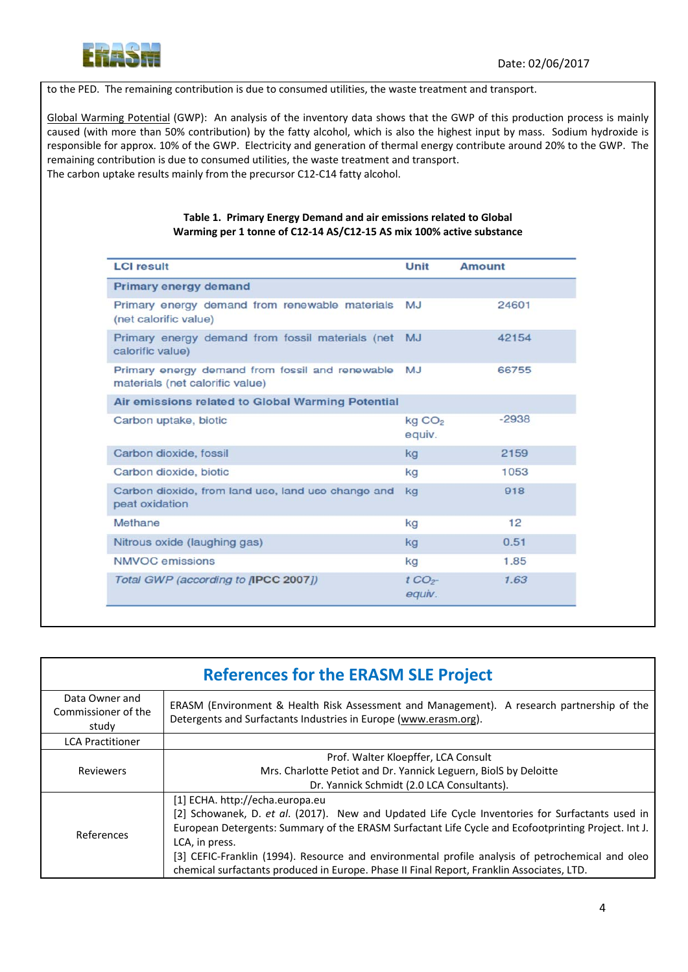

to the PED. The remaining contribution is due to consumed utilities, the waste treatment and transport.

Global Warming Potential (GWP): An analysis of the inventory data shows that the GWP of this production process is mainly caused (with more than 50% contribution) by the fatty alcohol, which is also the highest input by mass. Sodium hydroxide is responsible for approx. 10% of the GWP. Electricity and generation of thermal energy contribute around 20% to the GWP. The remaining contribution is due to consumed utilities, the waste treatment and transport. The carbon uptake results mainly from the precursor C12‐C14 fatty alcohol.

#### **Table 1. Primary Energy Demand and air emissions related to Global Warming per 1 tonne of C12‐14 AS/C12‐15 AS mix 100% active substance**

| <b>LCI result</b>                                                                  | Unit                         | <b>Amount</b> |
|------------------------------------------------------------------------------------|------------------------------|---------------|
| Primary energy demand                                                              |                              |               |
| Primary energy demand from renewable materials<br>(net calorific value)            | MJ                           | 24601         |
| Primary energy demand from fossil materials (net<br>calorific value)               | <b>MJ</b>                    | 42154         |
| Primary energy demand from fossil and renewable<br>materials (net calorific value) | MJ                           | 66755         |
| Air emissions related to Global Warming Potential                                  |                              |               |
| Carbon uptake, biotic                                                              | kg CO <sub>2</sub><br>equiv. | $-2938$       |
| Carbon dioxide, fossil                                                             | kg                           | 2159          |
| Carbon dioxide, biotic                                                             | kg                           | 1053          |
| Carbon dioxide, from land use, land use change and<br>peat oxidation               | kg                           | 918           |
| Methane                                                                            | kg                           | 12            |
| Nitrous oxide (laughing gas)                                                       | kg                           | 0.51          |
| <b>NMVOC</b> emissions                                                             | kg                           | 1.85          |
| Total GWP (according to <b>IPCC 2007</b> ])                                        | tCO <sub>2</sub><br>equiv.   | 1.63          |

| <b>References for the ERASM SLE Project</b>    |                                                                                                                                                                                                                                                                                                                                                                                                                                                              |  |
|------------------------------------------------|--------------------------------------------------------------------------------------------------------------------------------------------------------------------------------------------------------------------------------------------------------------------------------------------------------------------------------------------------------------------------------------------------------------------------------------------------------------|--|
| Data Owner and<br>Commissioner of the<br>study | ERASM (Environment & Health Risk Assessment and Management). A research partnership of the<br>Detergents and Surfactants Industries in Europe (www.erasm.org).                                                                                                                                                                                                                                                                                               |  |
| <b>LCA Practitioner</b>                        |                                                                                                                                                                                                                                                                                                                                                                                                                                                              |  |
| <b>Reviewers</b>                               | Prof. Walter Kloepffer, LCA Consult<br>Mrs. Charlotte Petiot and Dr. Yannick Leguern, BiolS by Deloitte<br>Dr. Yannick Schmidt (2.0 LCA Consultants).                                                                                                                                                                                                                                                                                                        |  |
| References                                     | [1] ECHA. http://echa.europa.eu<br>[2] Schowanek, D. et al. (2017). New and Updated Life Cycle Inventories for Surfactants used in<br>European Detergents: Summary of the ERASM Surfactant Life Cycle and Ecofootprinting Project. Int J.<br>LCA, in press.<br>[3] CEFIC-Franklin (1994). Resource and environmental profile analysis of petrochemical and oleo<br>chemical surfactants produced in Europe. Phase II Final Report, Franklin Associates, LTD. |  |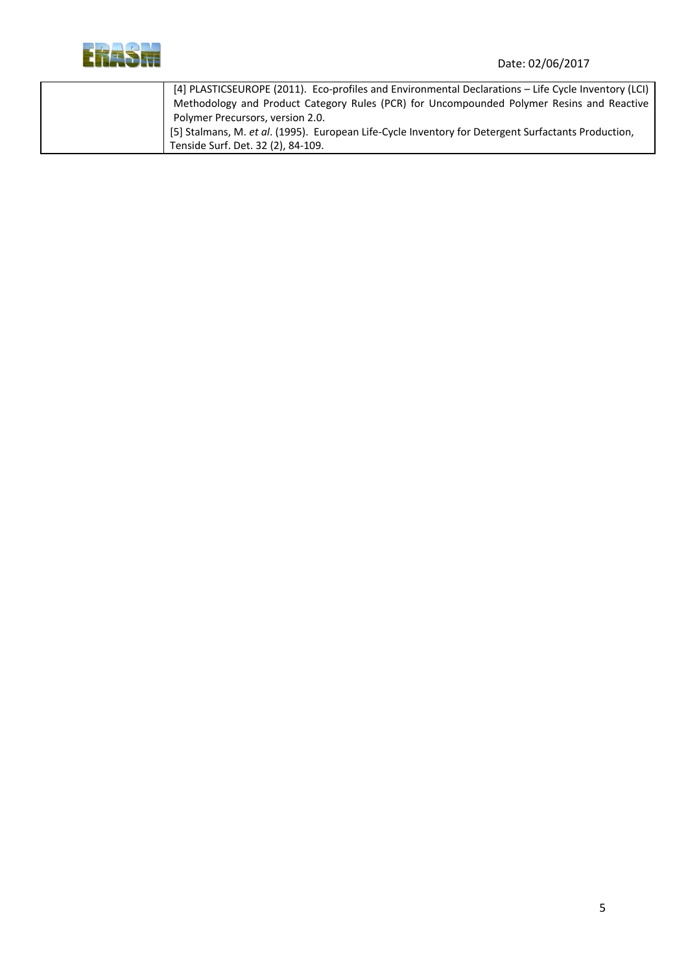

| [4] PLASTICSEUROPE (2011). Eco-profiles and Environmental Declarations - Life Cycle Inventory (LCI) |
|-----------------------------------------------------------------------------------------------------|
| Methodology and Product Category Rules (PCR) for Uncompounded Polymer Resins and Reactive           |
| Polymer Precursors, version 2.0.                                                                    |
| [5] Stalmans, M. et al. (1995). European Life-Cycle Inventory for Detergent Surfactants Production, |
| Tenside Surf. Det. 32 (2), 84-109.                                                                  |